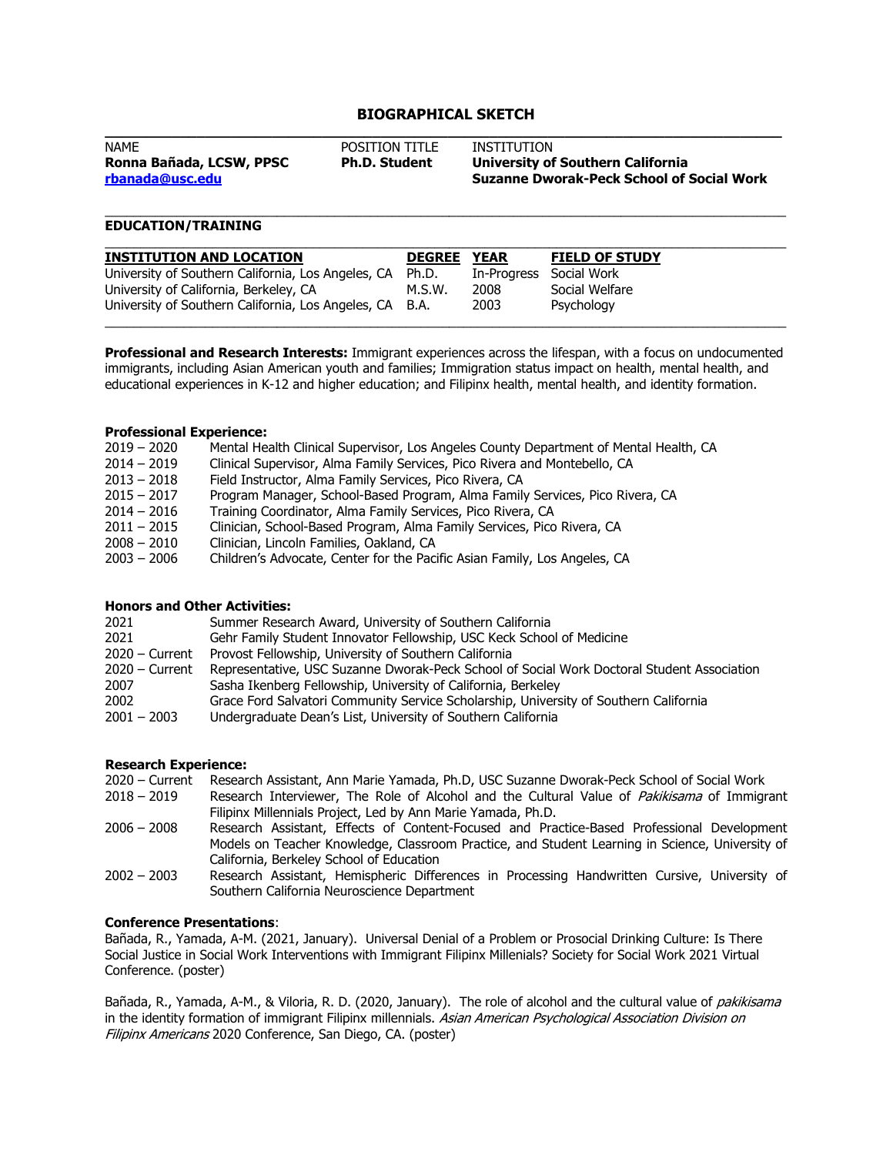# **BIOGRAPHICAL SKETCH**

| <b>NAME</b>              | POSITION TITLE       | INSTITUTION                                      |  |  |
|--------------------------|----------------------|--------------------------------------------------|--|--|
| Ronna Bañada, LCSW, PPSC | <b>Ph.D. Student</b> | <b>University of Southern California</b>         |  |  |
| rbanada@usc.edu          |                      | <b>Suzanne Dworak-Peck School of Social Work</b> |  |  |

#### \_\_\_\_\_\_\_\_\_\_\_\_\_\_\_\_\_\_\_\_\_\_\_\_\_\_\_\_\_\_\_\_\_\_\_\_\_\_\_\_\_\_\_\_\_\_\_\_\_\_\_\_\_\_\_\_\_\_\_\_\_\_\_\_\_\_\_\_\_\_\_\_\_\_\_\_\_\_\_\_\_\_\_\_\_\_\_\_\_\_\_\_\_\_\_ **EDUCATION/TRAINING**

| <b>INSTITUTION AND LOCATION</b>                                                                                                                         | <b>DEGREE</b>   | <b>YEAR</b>                 | <b>FIELD OF STUDY</b>                       |
|---------------------------------------------------------------------------------------------------------------------------------------------------------|-----------------|-----------------------------|---------------------------------------------|
| University of Southern California, Los Angeles, CA<br>University of California, Berkeley, CA<br>University of Southern California, Los Angeles, CA B.A. | Ph.D.<br>M.S.W. | In-Progress<br>2008<br>2003 | Social Work<br>Social Welfare<br>Psychology |

**Professional and Research Interests:** Immigrant experiences across the lifespan, with a focus on undocumented immigrants, including Asian American youth and families; Immigration status impact on health, mental health, and educational experiences in K-12 and higher education; and Filipinx health, mental health, and identity formation.

## **Professional Experience:**

| $2019 - 2020$ | Mental Health Clinical Supervisor, Los Angeles County Department of Mental Health, CA |
|---------------|---------------------------------------------------------------------------------------|
| $2014 - 2019$ | Clinical Supervisor, Alma Family Services, Pico Rivera and Montebello, CA             |
| $2013 - 2018$ | Field Instructor, Alma Family Services, Pico Rivera, CA                               |
| $2015 - 2017$ | Program Manager, School-Based Program, Alma Family Services, Pico Rivera, CA          |
| $2014 - 2016$ | Training Coordinator, Alma Family Services, Pico Rivera, CA                           |
| $2011 - 2015$ | Clinician, School-Based Program, Alma Family Services, Pico Rivera, CA                |
| $2008 - 2010$ | Clinician, Lincoln Families, Oakland, CA                                              |
| $2003 - 2006$ | Children's Advocate, Center for the Pacific Asian Family, Los Angeles, CA             |
|               |                                                                                       |

#### **Honors and Other Activities:**

| 2021             | Summer Research Award, University of Southern California                                   |
|------------------|--------------------------------------------------------------------------------------------|
| 2021             | Gehr Family Student Innovator Fellowship, USC Keck School of Medicine                      |
| $2020 -$ Current | Provost Fellowship, University of Southern California                                      |
| $2020 -$ Current | Representative, USC Suzanne Dworak-Peck School of Social Work Doctoral Student Association |
| 2007             | Sasha Ikenberg Fellowship, University of California, Berkeley                              |
| 2002             | Grace Ford Salvatori Community Service Scholarship, University of Southern California      |
| $2001 - 2003$    | Undergraduate Dean's List, University of Southern California                               |
|                  |                                                                                            |

# **Research Experience:**

| 2020 – Current Research Assistant, Ann Marie Yamada, Ph.D, USC Suzanne Dworak-Peck School of Social Work |  |
|----------------------------------------------------------------------------------------------------------|--|
|----------------------------------------------------------------------------------------------------------|--|

- 2018 2019 – Research Interviewer, The Role of Alcohol and the Cultural Value of *Pakikisama* of Immigrant Filipinx Millennials Project, Led by Ann Marie Yamada, Ph.D.
- 2006 2008 Research Assistant, Effects of Content-Focused and Practice-Based Professional Development Models on Teacher Knowledge, Classroom Practice, and Student Learning in Science, University of California, Berkeley School of Education
- 2002 2003 Research Assistant, Hemispheric Differences in Processing Handwritten Cursive, University of Southern California Neuroscience Department

# **Conference Presentations**:

Bañada, R., Yamada, A-M. (2021, January). Universal Denial of a Problem or Prosocial Drinking Culture: Is There Social Justice in Social Work Interventions with Immigrant Filipinx Millenials? Society for Social Work 2021 Virtual Conference. (poster)

Bañada, R., Yamada, A-M., & Viloria, R. D. (2020, January). The role of alcohol and the cultural value of pakikisama in the identity formation of immigrant Filipinx millennials. Asian American Psychological Association Division on Filipinx Americans 2020 Conference, San Diego, CA. (poster)